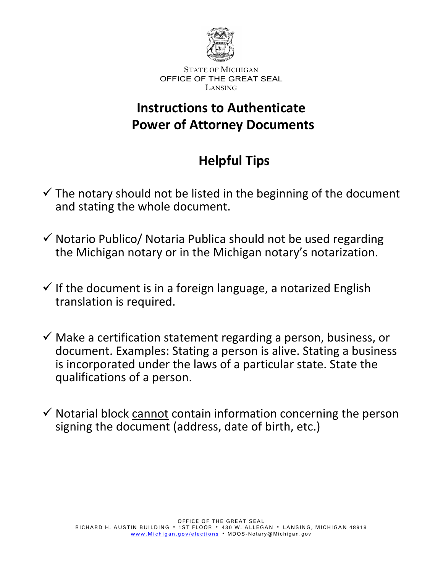

## **Instructions to Authenticate Power of Attorney Documents**

# **Helpful Tips**

- $\checkmark$  The notary should not be listed in the beginning of the document and stating the whole document.
- $\checkmark$  Notario Publico/ Notaria Publica should not be used regarding the Michigan notary or in the Michigan notary's notarization.
- $\checkmark$  If the document is in a foreign language, a notarized English translation is required.
- $\checkmark$  Make a certification statement regarding a person, business, or document. Examples: Stating a person is alive. Stating a business is incorporated under the laws of a particular state. State the qualifications of a person.
- $\checkmark$  Notarial block cannot contain information concerning the person signing the document (address, date of birth, etc.)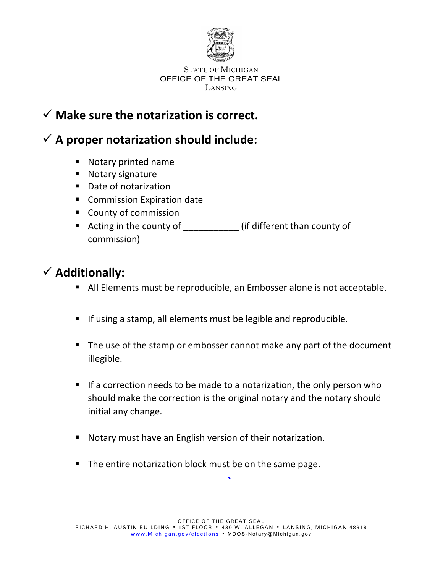

## **Make sure the notarization is correct.**

## **A proper notarization should include:**

- **Notary printed name**
- **Notary signature**
- Date of notarization
- **Commission Expiration date**
- County of commission
- Acting in the county of \_\_\_\_\_\_\_\_\_\_\_\_\_\_ (if different than county of commission)

## **Additionally:**

- All Elements must be reproducible, an Embosser alone is not acceptable.
- If using a stamp, all elements must be legible and reproducible.
- The use of the stamp or embosser cannot make any part of the document illegible.
- If a correction needs to be made to a notarization, the only person who should make the correction is the original notary and the notary should initial any change.
- Notary must have an English version of their notarization.
- The entire notarization block must be on the same page.

**`**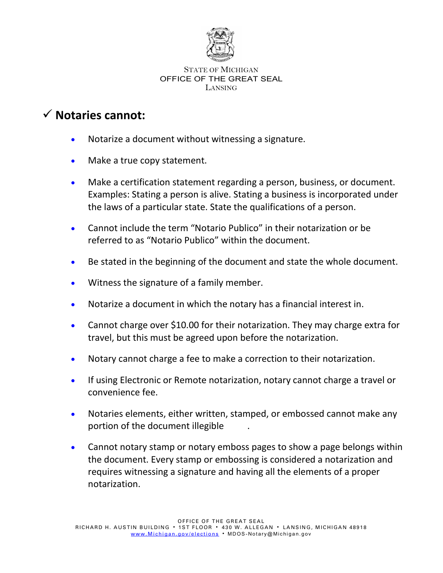

### **Notaries cannot:**

- Notarize a document without witnessing a signature.
- Make a true copy statement.
- Make a certification statement regarding a person, business, or document. Examples: Stating a person is alive. Stating a business is incorporated under the laws of a particular state. State the qualifications of a person.
- Cannot include the term "Notario Publico" in their notarization or be referred to as "Notario Publico" within the document.
- Be stated in the beginning of the document and state the whole document.
- Witness the signature of a family member.
- Notarize a document in which the notary has a financial interest in.
- Cannot charge over \$10.00 for their notarization. They may charge extra for travel, but this must be agreed upon before the notarization.
- Notary cannot charge a fee to make a correction to their notarization.
- If using Electronic or Remote notarization, notary cannot charge a travel or convenience fee.
- Notaries elements, either written, stamped, or embossed cannot make any portion of the document illegible .
- Cannot notary stamp or notary emboss pages to show a page belongs within the document. Every stamp or embossing is considered a notarization and requires witnessing a signature and having all the elements of a proper notarization.